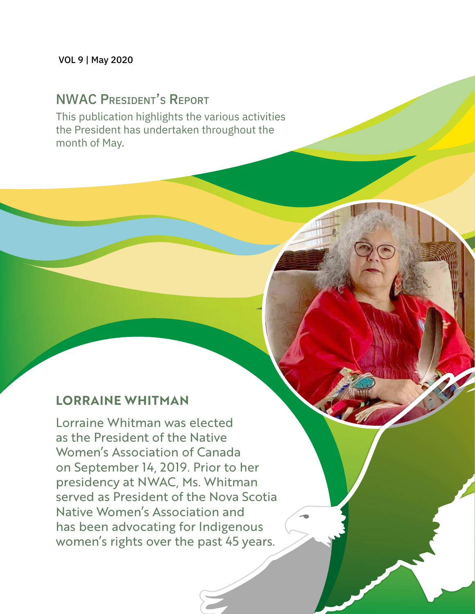# **NWAC PRESIDENT'S REPORT**

This publication highlights the various activities the President has undertaken throughout the month of May.

## **LORRAINE WHITMAN**

Lorraine Whitman was elected as the President of the Native Women's Association of Canada on September 14, 2019. Prior to her presidency at NWAC, Ms. Whitman served as President of the Nova Scotia Native Women's Association and has been advocating for Indigenous women's rights over the past 45 years.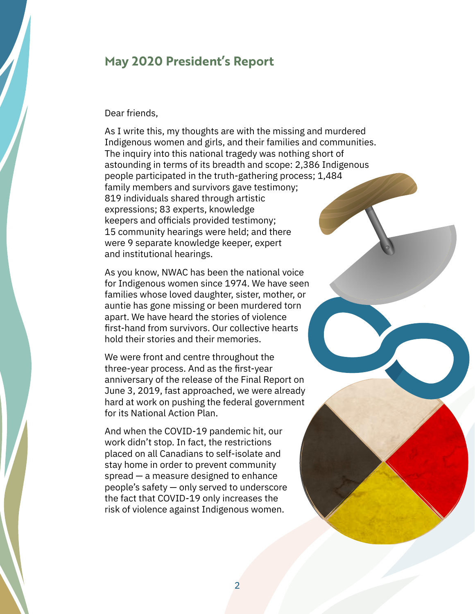#### **May 2020 President's Report**

#### Dear friends,

As I write this, my thoughts are with the missing and murdered Indigenous women and girls, and their families and communities. The inquiry into this national tragedy was nothing short of astounding in terms of its breadth and scope: 2,386 Indigenous people participated in the truth-gathering process; 1,484 family members and survivors gave testimony; 819 individuals shared through artistic expressions; 83 experts, knowledge keepers and officials provided testimony; 15 community hearings were held; and there were 9 separate knowledge keeper, expert and institutional hearings.

As you know, NWAC has been the national voice for Indigenous women since 1974. We have seen families whose loved daughter, sister, mother, or auntie has gone missing or been murdered torn apart. We have heard the stories of violence first-hand from survivors. Our collective hearts hold their stories and their memories.

We were front and centre throughout the three-year process. And as the first-year anniversary of the release of the Final Report on June 3, 2019, fast approached, we were already hard at work on pushing the federal government for its National Action Plan.

And when the COVID-19 pandemic hit, our work didn't stop. In fact, the restrictions placed on all Canadians to self-isolate and stay home in order to prevent community spread — a measure designed to enhance people's safety — only served to underscore the fact that COVID-19 only increases the risk of violence against Indigenous women.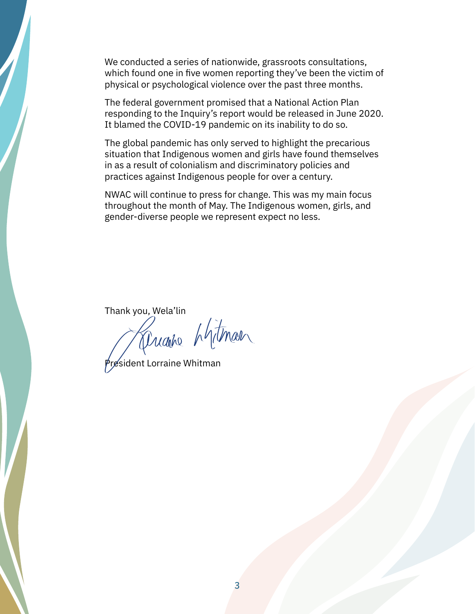We conducted a series of nationwide, grassroots consultations, which found one in five women reporting they've been the victim of physical or psychological violence over the past three months.

The federal government promised that a National Action Plan responding to the Inquiry's report would be released in June 2020. It blamed the COVID-19 pandemic on its inability to do so.

The global pandemic has only served to highlight the precarious situation that Indigenous women and girls have found themselves in as a result of colonialism and discriminatory policies and practices against Indigenous people for over a century.

NWAC will continue to press for change. This was my main focus throughout the month of May. The Indigenous women, girls, and gender-diverse people we represent expect no less.

Thank you, Wela'lin<br>Mugho Mitmal

President Lorraine Whitman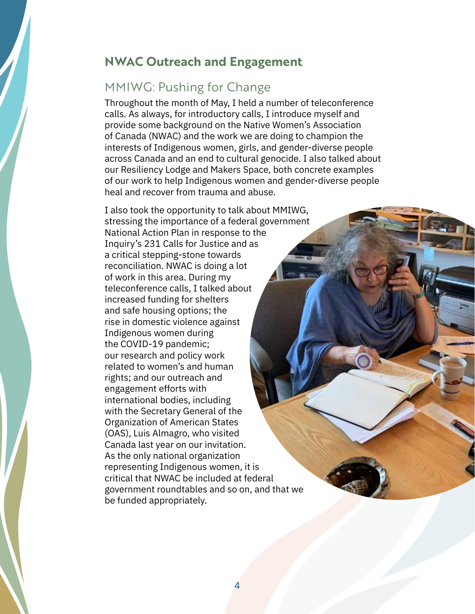### **NWAC Outreach and Engagement**

## MMIWG: Pushing for Change

Throughout the month of May, I held a number of teleconference calls. As always, for introductory calls, I introduce myself and provide some background on the Native Women's Association of Canada (NWAC) and the work we are doing to champion the interests of Indigenous women, girls, and gender-diverse people across Canada and an end to cultural genocide. I also talked about our Resiliency Lodge and Makers Space, both concrete examples of our work to help Indigenous women and gender-diverse people heal and recover from trauma and abuse.

I also took the opportunity to talk about MMIWG, stressing the importance of a federal government National Action Plan in response to the Inquiry's 231 Calls for Justice and as a critical stepping-stone towards reconciliation. NWAC is doing a lot of work in this area. During my teleconference calls, I talked about increased funding for shelters and safe housing options; the rise in domestic violence against Indigenous women during the COVID-19 pandemic; our research and policy work related to women's and human rights; and our outreach and engagement efforts with international bodies, including with the Secretary General of the Organization of American States (OAS), Luis Almagro, who visited Canada last year on our invitation. As the only national organization representing Indigenous women, it is critical that NWAC be included at federal government roundtables and so on, and that we be funded appropriately.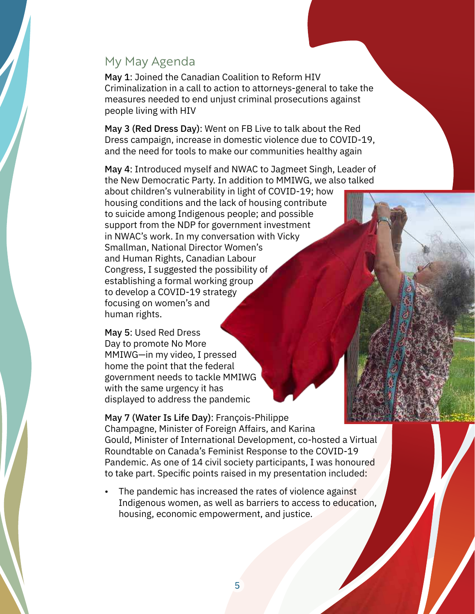#### My May Agenda

May 1: Joined the Canadian Coalition to Reform HIV Criminalization in a call to action to attorneys-general to take the measures needed to end unjust criminal prosecutions against people living with HIV

May 3 (Red Dress Day): Went on FB Live to talk about the Red Dress campaign, increase in domestic violence due to COVID-19, and the need for tools to make our communities healthy again

May 4: Introduced myself and NWAC to Jagmeet Singh, Leader of the New Democratic Party. In addition to MMIWG, we also talked

about children's vulnerability in light of COVID-19; how housing conditions and the lack of housing contribute to suicide among Indigenous people; and possible support from the NDP for government investment in NWAC's work. In my conversation with Vicky Smallman, National Director Women's and Human Rights, Canadian Labour Congress, I suggested the possibility of establishing a formal working group to develop a COVID-19 strategy focusing on women's and human rights.

May 5: Used Red Dress Day to promote No More MMIWG—in my video, I pressed home the point that the federal government needs to tackle MMIWG with the same urgency it has displayed to address the pandemic

May 7 (Water Is Life Day): François-Philippe Champagne, Minister of Foreign Affairs, and Karina Gould, Minister of International Development, co-hosted a Virtual Roundtable on Canada's Feminist Response to the COVID-19 Pandemic. As one of 14 civil society participants, I was honoured to take part. Specific points raised in my presentation included:

The pandemic has increased the rates of violence against Indigenous women, as well as barriers to access to education, housing, economic empowerment, and justice.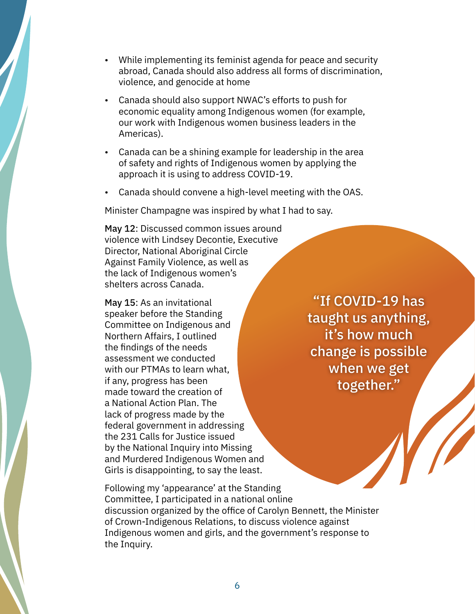- While implementing its feminist agenda for peace and security abroad, Canada should also address all forms of discrimination, violence, and genocide at home
- Canada should also support NWAC's efforts to push for economic equality among Indigenous women (for example, our work with Indigenous women business leaders in the Americas).
- Canada can be a shining example for leadership in the area of safety and rights of Indigenous women by applying the approach it is using to address COVID-19.
- Canada should convene a high-level meeting with the OAS.

Minister Champagne was inspired by what I had to say.

May 12: Discussed common issues around violence with Lindsey Decontie, Executive Director, National Aboriginal Circle Against Family Violence, as well as the lack of Indigenous women's shelters across Canada.

May 15: As an invitational speaker before the Standing Committee on Indigenous and Northern Affairs, I outlined the findings of the needs assessment we conducted with our PTMAs to learn what, if any, progress has been made toward the creation of a National Action Plan. The lack of progress made by the federal government in addressing the 231 Calls for Justice issued by the National Inquiry into Missing and Murdered Indigenous Women and Girls is disappointing, to say the least.

"If COVID-19 has taught us anything, it's how much change is possible when we get together."

Following my 'appearance' at the Standing Committee, I participated in a national online discussion organized by the office of Carolyn Bennett, the Minister of Crown-Indigenous Relations, to discuss violence against Indigenous women and girls, and the government's response to the Inquiry.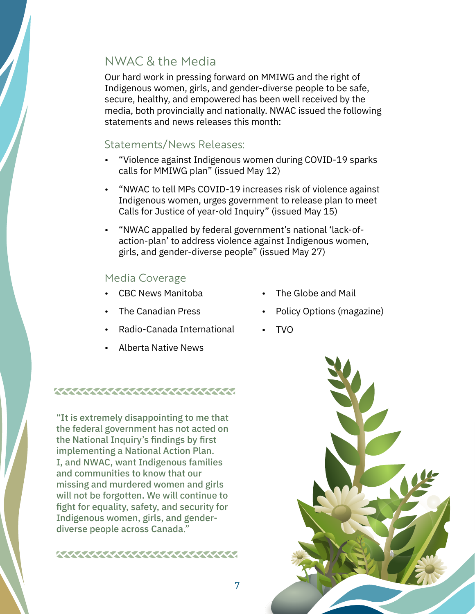# NWAC & the Media

Our hard work in pressing forward on MMIWG and the right of Indigenous women, girls, and gender-diverse people to be safe, secure, healthy, and empowered has been well received by the media, both provincially and nationally. NWAC issued the following statements and news releases this month:

#### Statements/News Releases:

- "Violence against Indigenous women during COVID-19 sparks calls for MMIWG plan" (issued May 12)
- "NWAC to tell MPs COVID-19 increases risk of violence against Indigenous women, urges government to release plan to meet Calls for Justice of year-old Inquiry" (issued May 15)
- "NWAC appalled by federal government's national 'lack-ofaction-plan' to address violence against Indigenous women, girls, and gender-diverse people" (issued May 27)

#### Media Coverage

- CBC News Manitoba
- The Canadian Press
- Radio-Canada International
- Alberta Native News

#### **WWWWWWWWWWWW**

"It is extremely disappointing to me that the federal government has not acted on the National Inquiry's findings by first implementing a National Action Plan. I, and NWAC, want Indigenous families and communities to know that our missing and murdered women and girls will not be forgotten. We will continue to fight for equality, safety, and security for Indigenous women, girls, and genderdiverse people across Canada."

- The Globe and Mail • Policy Options (magazine)
- TVO



7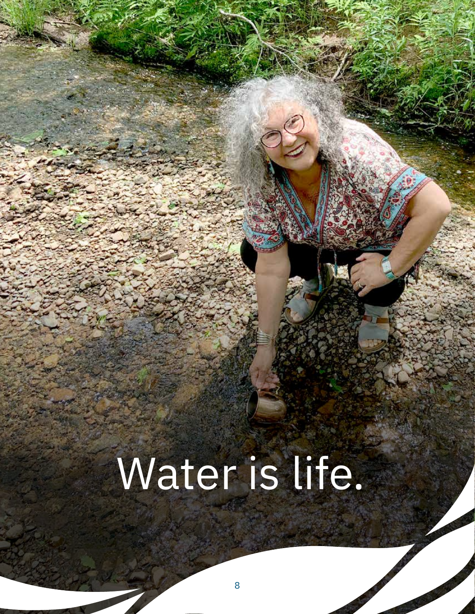# Water is life.